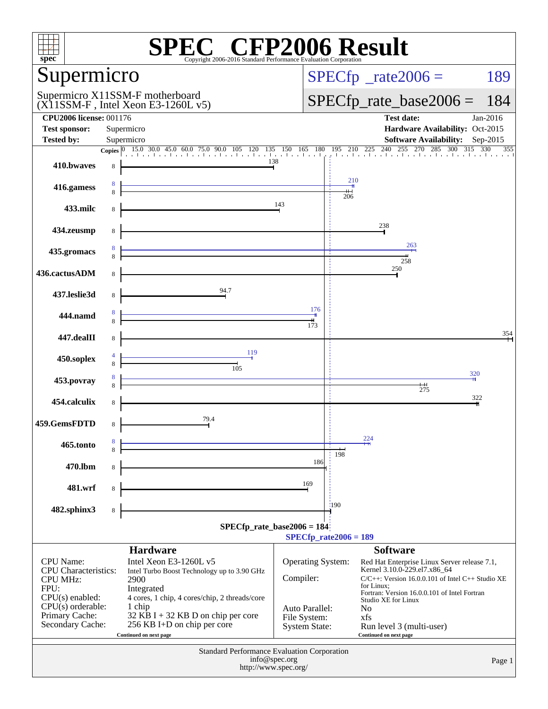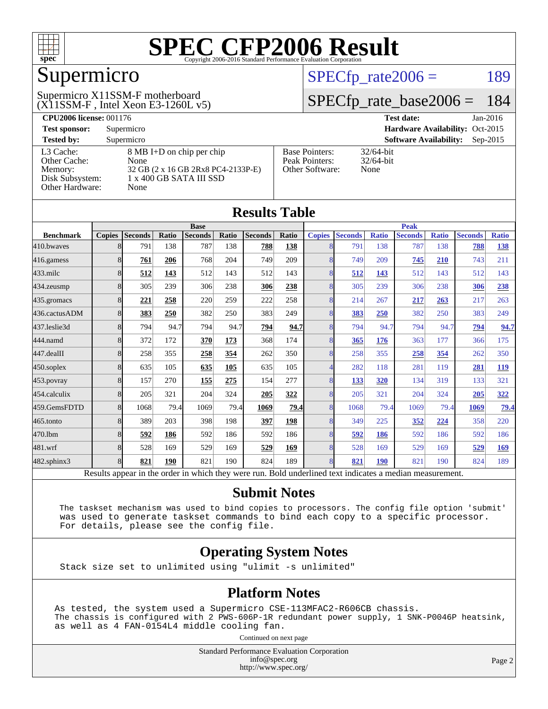

# Supermicro

#### $(X11SSM-F$ , Intel Xeon E3-1260L v5) Supermicro X11SSM-F motherboard

 $SPECTp_rate2006 = 189$ 

## [SPECfp\\_rate\\_base2006 =](http://www.spec.org/auto/cpu2006/Docs/result-fields.html#SPECfpratebase2006) 184

| <b>CPU2006 license: 001176</b>       |                                                                         |                                                            | <b>Test date:</b><br>$Jan-2016$             |
|--------------------------------------|-------------------------------------------------------------------------|------------------------------------------------------------|---------------------------------------------|
| <b>Test sponsor:</b>                 | Supermicro                                                              |                                                            | Hardware Availability: Oct-2015             |
| <b>Tested by:</b>                    | Supermicro                                                              |                                                            | <b>Software Availability:</b><br>$Sep-2015$ |
| L3 Cache:<br>Other Cache:<br>Memory: | 8 MB I+D on chip per chip<br>None<br>32 GB (2 x 16 GB 2Rx8 PC4-2133P-E) | <b>Base Pointers:</b><br>Peak Pointers:<br>Other Software: | $32/64$ -bit<br>$32/64$ -bit<br>None        |
| Disk Subsystem:<br>Other Hardware:   | 1 x 400 GB SATA III SSD<br>None                                         |                                                            |                                             |

| Results Tadie    |               |                 |              |                |       |                |       |                             |                   |              |                |              |                |              |
|------------------|---------------|-----------------|--------------|----------------|-------|----------------|-------|-----------------------------|-------------------|--------------|----------------|--------------|----------------|--------------|
|                  |               |                 |              | <b>Base</b>    |       |                |       |                             |                   |              | <b>Peak</b>    |              |                |              |
| <b>Benchmark</b> | <b>Copies</b> | <b>Seconds</b>  | Ratio        | <b>Seconds</b> | Ratio | <b>Seconds</b> | Ratio | <b>Copies</b>               | <b>Seconds</b>    | <b>Ratio</b> | <b>Seconds</b> | <b>Ratio</b> | <b>Seconds</b> | <b>Ratio</b> |
| 410.bwayes       | 81            | 791             | 138          | 787            | 138   | 788            | 138   | 8                           | 791               | 138          | 787            | 138          | 788            | <u>138</u>   |
| 416.gamess       | 8             | 761             | 206          | 768            | 204   | 749            | 209   | 8                           | 749               | 209          | 745            | 210          | 743            | 211          |
| 433.milc         | 8             | 512             | 143          | 512            | 143   | 512            | 143   | 8                           | 512               | 143          | 512            | 143          | 512            | 143          |
| 434.zeusmp       | 8             | 305             | 239          | 306            | 238   | 306            | 238   | 8                           | 305               | 239          | 306            | 238          | 306            | 238          |
| 435.gromacs      | 8             | 221             | 258          | 220            | 259   | 222            | 258   | 8                           | 214               | 267          | 217            | 263          | 217            | 263          |
| 436.cactusADM    | 8             | 383             | 250          | 382            | 250   | 383            | 249   | 8                           | 383               | 250          | 382            | 250          | 383            | 249          |
| 437.leslie3d     | 8             | 794             | 94.7         | 794            | 94.7  | 794            | 94.7  | 8                           | 794               | 94.7         | 794            | 94.7         | 794            | 94.7         |
| 444.namd         | 8             | 372             | 172          | 370            | 173   | 368            | 174   | 8                           | 365               | 176          | 363            | 177          | 366            | 175          |
| 447.dealII       | 8             | 258             | 355          | 258            | 354   | 262            | 350   | 8                           | 258               | 355          | 258            | 354          | 262            | 350          |
| 450.soplex       | 8             | 635             | 105          | 635            | 105   | 635            | 105   | $\overline{4}$              | 282               | 118          | 281            | 119          | 281            | <u>119</u>   |
| 453.povray       | 8             | 157             | 270          | 155            | 275   | 154            | 277   | 8                           | <u>133</u>        | 320          | 134            | 319          | 133            | 321          |
| 454.calculix     | 8             | 205             | 321          | 204            | 324   | 205            | 322   | 8                           | 205               | 321          | 204            | 324          | 205            | 322          |
| 459.GemsFDTD     | 8             | 1068            | 79.4         | 1069           | 79.4  | 1069           | 79.4  | 8                           | 1068              | 79.4         | 1069           | 79.4         | 1069           | <u>79.4</u>  |
| 465.tonto        | 8             | 389             | 203          | 398            | 198   | 397            | 198   | 8                           | 349               | 225          | 352            | 224          | 358            | 220          |
| 470.1bm          | 8             | 592             | 186          | 592            | 186   | 592            | 186   | 8                           | 592               | 186          | 592            | 186          | 592            | 186          |
| 481.wrf          | 8             | 528             | 169          | 529            | 169   | <u>529</u>     | 169   | 8                           | 528               | 169          | 529            | 169          | 529            | 169          |
| 482.sphinx3      | 8             | 821             | 190          | 821            | 190   | 824            | 189   | 8                           | 821               | <b>190</b>   | 821            | 190          | 824            | 189          |
| n.               | $\mathbf{1}$  | $\cdot$ $\cdot$ | $\mathbf{1}$ | 1.1.1          |       |                | T11   | $1 \quad 1$<br>$\mathbf{1}$ | $\cdot$<br>$\sim$ |              | $\cdot$        |              |                |              |

Results appear in the [order in which they were run.](http://www.spec.org/auto/cpu2006/Docs/result-fields.html#RunOrder) Bold underlined text [indicates a median measurement.](http://www.spec.org/auto/cpu2006/Docs/result-fields.html#Median)

#### **[Submit Notes](http://www.spec.org/auto/cpu2006/Docs/result-fields.html#SubmitNotes)**

 The taskset mechanism was used to bind copies to processors. The config file option 'submit' was used to generate taskset commands to bind each copy to a specific processor. For details, please see the config file.

#### **[Operating System Notes](http://www.spec.org/auto/cpu2006/Docs/result-fields.html#OperatingSystemNotes)**

Stack size set to unlimited using "ulimit -s unlimited"

#### **[Platform Notes](http://www.spec.org/auto/cpu2006/Docs/result-fields.html#PlatformNotes)**

As tested, the system used a Supermicro CSE-113MFAC2-R606CB chassis. The chassis is configured with 2 PWS-606P-1R redundant power supply, 1 SNK-P0046P heatsink, as well as 4 FAN-0154L4 middle cooling fan.

Continued on next page

Standard Performance Evaluation Corporation [info@spec.org](mailto:info@spec.org) <http://www.spec.org/>

Page 2

#### **[Results Table](http://www.spec.org/auto/cpu2006/Docs/result-fields.html#ResultsTable)**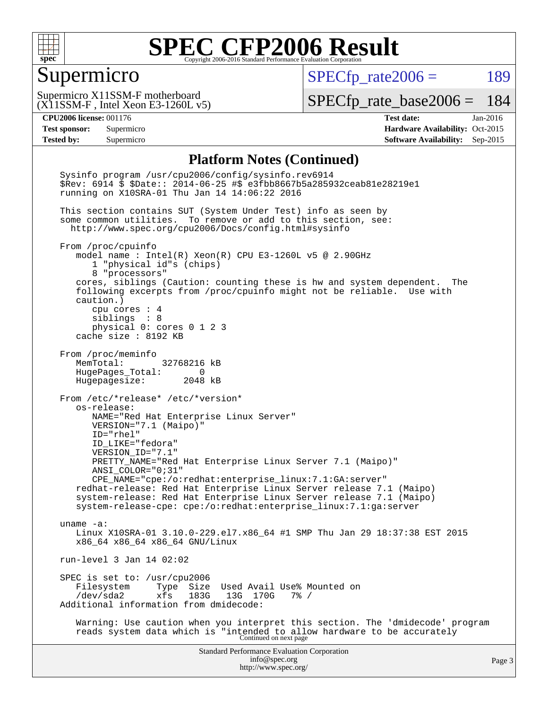

#### Supermicro

 $SPECfp_rate2006 = 189$  $SPECfp_rate2006 = 189$ 

(X11SSM-F , Intel Xeon E3-1260L v5) Supermicro X11SSM-F motherboard

[SPECfp\\_rate\\_base2006 =](http://www.spec.org/auto/cpu2006/Docs/result-fields.html#SPECfpratebase2006) 184

**[CPU2006 license:](http://www.spec.org/auto/cpu2006/Docs/result-fields.html#CPU2006license)** 001176 **[Test date:](http://www.spec.org/auto/cpu2006/Docs/result-fields.html#Testdate)** Jan-2016 **[Test sponsor:](http://www.spec.org/auto/cpu2006/Docs/result-fields.html#Testsponsor)** Supermicro Supermicro **[Hardware Availability:](http://www.spec.org/auto/cpu2006/Docs/result-fields.html#HardwareAvailability)** Oct-2015 **[Tested by:](http://www.spec.org/auto/cpu2006/Docs/result-fields.html#Testedby)** Supermicro **Supermicro [Software Availability:](http://www.spec.org/auto/cpu2006/Docs/result-fields.html#SoftwareAvailability)** Sep-2015

#### **[Platform Notes \(Continued\)](http://www.spec.org/auto/cpu2006/Docs/result-fields.html#PlatformNotes)**

Standard Performance Evaluation Corporation [info@spec.org](mailto:info@spec.org) <http://www.spec.org/> Page 3 Sysinfo program /usr/cpu2006/config/sysinfo.rev6914 \$Rev: 6914 \$ \$Date:: 2014-06-25 #\$ e3fbb8667b5a285932ceab81e28219e1 running on X10SRA-01 Thu Jan 14 14:06:22 2016 This section contains SUT (System Under Test) info as seen by some common utilities. To remove or add to this section, see: <http://www.spec.org/cpu2006/Docs/config.html#sysinfo> From /proc/cpuinfo model name : Intel(R) Xeon(R) CPU E3-1260L v5 @ 2.90GHz 1 "physical id"s (chips) 8 "processors" cores, siblings (Caution: counting these is hw and system dependent. The following excerpts from /proc/cpuinfo might not be reliable. Use with caution.) cpu cores : 4 siblings : 8 physical 0: cores 0 1 2 3 cache size : 8192 KB From /proc/meminfo MemTotal: 32768216 kB HugePages\_Total: 0 Hugepagesize: 2048 kB From /etc/\*release\* /etc/\*version\* os-release: NAME="Red Hat Enterprise Linux Server" VERSION="7.1 (Maipo)" ID="rhel" ID\_LIKE="fedora" VERSION\_ID="7.1" PRETTY\_NAME="Red Hat Enterprise Linux Server 7.1 (Maipo)" ANSI\_COLOR="0;31" CPE\_NAME="cpe:/o:redhat:enterprise\_linux:7.1:GA:server" redhat-release: Red Hat Enterprise Linux Server release 7.1 (Maipo) system-release: Red Hat Enterprise Linux Server release 7.1 (Maipo) system-release-cpe: cpe:/o:redhat:enterprise\_linux:7.1:ga:server uname -a: Linux X10SRA-01 3.10.0-229.el7.x86\_64 #1 SMP Thu Jan 29 18:37:38 EST 2015 x86\_64 x86\_64 x86\_64 GNU/Linux run-level 3 Jan 14 02:02 SPEC is set to: /usr/cpu2006<br>Filesystem Type Size Filesystem Type Size Used Avail Use% Mounted on<br>/dev/sda2 xfs 183G 13G 170G 7% / /dev/sda2 xfs 183G 13G 170G 7% / Additional information from dmidecode: Warning: Use caution when you interpret this section. The 'dmidecode' program reads system data which is "intended to allow hardware to be accurately Continued on next page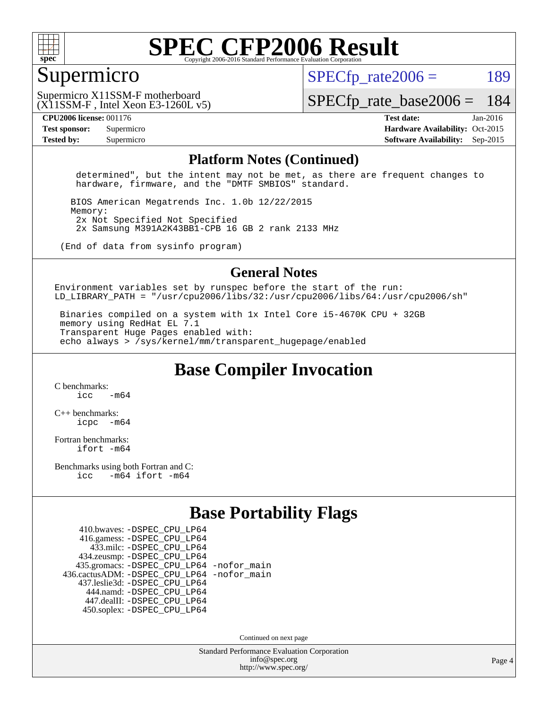

#### Supermicro

 $SPECTp\_rate2006 = 189$ 

(X11SSM-F , Intel Xeon E3-1260L v5) Supermicro X11SSM-F motherboard

[SPECfp\\_rate\\_base2006 =](http://www.spec.org/auto/cpu2006/Docs/result-fields.html#SPECfpratebase2006) 184

**[CPU2006 license:](http://www.spec.org/auto/cpu2006/Docs/result-fields.html#CPU2006license)** 001176 **[Test date:](http://www.spec.org/auto/cpu2006/Docs/result-fields.html#Testdate)** Jan-2016 **[Test sponsor:](http://www.spec.org/auto/cpu2006/Docs/result-fields.html#Testsponsor)** Supermicro Supermicro **[Hardware Availability:](http://www.spec.org/auto/cpu2006/Docs/result-fields.html#HardwareAvailability)** Oct-2015 **[Tested by:](http://www.spec.org/auto/cpu2006/Docs/result-fields.html#Testedby)** Supermicro **Supermicro [Software Availability:](http://www.spec.org/auto/cpu2006/Docs/result-fields.html#SoftwareAvailability)** Sep-2015

#### **[Platform Notes \(Continued\)](http://www.spec.org/auto/cpu2006/Docs/result-fields.html#PlatformNotes)**

 determined", but the intent may not be met, as there are frequent changes to hardware, firmware, and the "DMTF SMBIOS" standard.

 BIOS American Megatrends Inc. 1.0b 12/22/2015 Memory: 2x Not Specified Not Specified 2x Samsung M391A2K43BB1-CPB 16 GB 2 rank 2133 MHz

(End of data from sysinfo program)

#### **[General Notes](http://www.spec.org/auto/cpu2006/Docs/result-fields.html#GeneralNotes)**

Environment variables set by runspec before the start of the run: LD LIBRARY\_PATH = "/usr/cpu2006/libs/32:/usr/cpu2006/libs/64:/usr/cpu2006/sh"

 Binaries compiled on a system with 1x Intel Core i5-4670K CPU + 32GB memory using RedHat EL 7.1 Transparent Huge Pages enabled with: echo always > /sys/kernel/mm/transparent\_hugepage/enabled

**[Base Compiler Invocation](http://www.spec.org/auto/cpu2006/Docs/result-fields.html#BaseCompilerInvocation)**

[C benchmarks](http://www.spec.org/auto/cpu2006/Docs/result-fields.html#Cbenchmarks):  $icc$   $-m64$ 

[C++ benchmarks:](http://www.spec.org/auto/cpu2006/Docs/result-fields.html#CXXbenchmarks) [icpc -m64](http://www.spec.org/cpu2006/results/res2016q1/cpu2006-20160206-39002.flags.html#user_CXXbase_intel_icpc_64bit_bedb90c1146cab66620883ef4f41a67e)

[Fortran benchmarks](http://www.spec.org/auto/cpu2006/Docs/result-fields.html#Fortranbenchmarks): [ifort -m64](http://www.spec.org/cpu2006/results/res2016q1/cpu2006-20160206-39002.flags.html#user_FCbase_intel_ifort_64bit_ee9d0fb25645d0210d97eb0527dcc06e)

[Benchmarks using both Fortran and C](http://www.spec.org/auto/cpu2006/Docs/result-fields.html#BenchmarksusingbothFortranandC): [icc -m64](http://www.spec.org/cpu2006/results/res2016q1/cpu2006-20160206-39002.flags.html#user_CC_FCbase_intel_icc_64bit_0b7121f5ab7cfabee23d88897260401c) [ifort -m64](http://www.spec.org/cpu2006/results/res2016q1/cpu2006-20160206-39002.flags.html#user_CC_FCbase_intel_ifort_64bit_ee9d0fb25645d0210d97eb0527dcc06e)

### **[Base Portability Flags](http://www.spec.org/auto/cpu2006/Docs/result-fields.html#BasePortabilityFlags)**

 410.bwaves: [-DSPEC\\_CPU\\_LP64](http://www.spec.org/cpu2006/results/res2016q1/cpu2006-20160206-39002.flags.html#suite_basePORTABILITY410_bwaves_DSPEC_CPU_LP64) 416.gamess: [-DSPEC\\_CPU\\_LP64](http://www.spec.org/cpu2006/results/res2016q1/cpu2006-20160206-39002.flags.html#suite_basePORTABILITY416_gamess_DSPEC_CPU_LP64) 433.milc: [-DSPEC\\_CPU\\_LP64](http://www.spec.org/cpu2006/results/res2016q1/cpu2006-20160206-39002.flags.html#suite_basePORTABILITY433_milc_DSPEC_CPU_LP64) 434.zeusmp: [-DSPEC\\_CPU\\_LP64](http://www.spec.org/cpu2006/results/res2016q1/cpu2006-20160206-39002.flags.html#suite_basePORTABILITY434_zeusmp_DSPEC_CPU_LP64) 435.gromacs: [-DSPEC\\_CPU\\_LP64](http://www.spec.org/cpu2006/results/res2016q1/cpu2006-20160206-39002.flags.html#suite_basePORTABILITY435_gromacs_DSPEC_CPU_LP64) [-nofor\\_main](http://www.spec.org/cpu2006/results/res2016q1/cpu2006-20160206-39002.flags.html#user_baseLDPORTABILITY435_gromacs_f-nofor_main) 436.cactusADM: [-DSPEC\\_CPU\\_LP64](http://www.spec.org/cpu2006/results/res2016q1/cpu2006-20160206-39002.flags.html#suite_basePORTABILITY436_cactusADM_DSPEC_CPU_LP64) [-nofor\\_main](http://www.spec.org/cpu2006/results/res2016q1/cpu2006-20160206-39002.flags.html#user_baseLDPORTABILITY436_cactusADM_f-nofor_main) 437.leslie3d: [-DSPEC\\_CPU\\_LP64](http://www.spec.org/cpu2006/results/res2016q1/cpu2006-20160206-39002.flags.html#suite_basePORTABILITY437_leslie3d_DSPEC_CPU_LP64) 444.namd: [-DSPEC\\_CPU\\_LP64](http://www.spec.org/cpu2006/results/res2016q1/cpu2006-20160206-39002.flags.html#suite_basePORTABILITY444_namd_DSPEC_CPU_LP64) 447.dealII: [-DSPEC\\_CPU\\_LP64](http://www.spec.org/cpu2006/results/res2016q1/cpu2006-20160206-39002.flags.html#suite_basePORTABILITY447_dealII_DSPEC_CPU_LP64) 450.soplex: [-DSPEC\\_CPU\\_LP64](http://www.spec.org/cpu2006/results/res2016q1/cpu2006-20160206-39002.flags.html#suite_basePORTABILITY450_soplex_DSPEC_CPU_LP64)

Continued on next page

Standard Performance Evaluation Corporation [info@spec.org](mailto:info@spec.org) <http://www.spec.org/>

Page 4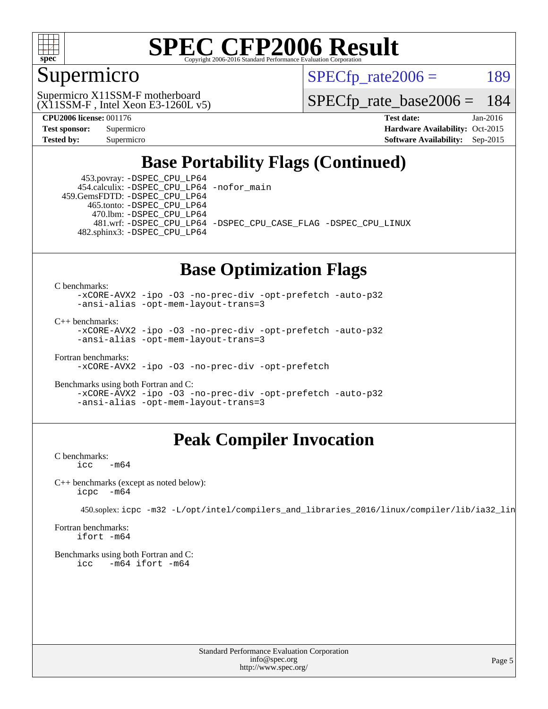

### Supermicro

 $SPECTp\_rate2006 = 189$ 

(X11SSM-F , Intel Xeon E3-1260L v5) Supermicro X11SSM-F motherboard

[SPECfp\\_rate\\_base2006 =](http://www.spec.org/auto/cpu2006/Docs/result-fields.html#SPECfpratebase2006) 184

**[CPU2006 license:](http://www.spec.org/auto/cpu2006/Docs/result-fields.html#CPU2006license)** 001176 **[Test date:](http://www.spec.org/auto/cpu2006/Docs/result-fields.html#Testdate)** Jan-2016 **[Test sponsor:](http://www.spec.org/auto/cpu2006/Docs/result-fields.html#Testsponsor)** Supermicro Supermicro **[Hardware Availability:](http://www.spec.org/auto/cpu2006/Docs/result-fields.html#HardwareAvailability)** Oct-2015 **[Tested by:](http://www.spec.org/auto/cpu2006/Docs/result-fields.html#Testedby)** Supermicro **Supermicro [Software Availability:](http://www.spec.org/auto/cpu2006/Docs/result-fields.html#SoftwareAvailability)** Sep-2015

## **[Base Portability Flags \(Continued\)](http://www.spec.org/auto/cpu2006/Docs/result-fields.html#BasePortabilityFlags)**

 453.povray: [-DSPEC\\_CPU\\_LP64](http://www.spec.org/cpu2006/results/res2016q1/cpu2006-20160206-39002.flags.html#suite_basePORTABILITY453_povray_DSPEC_CPU_LP64) 454.calculix: [-DSPEC\\_CPU\\_LP64](http://www.spec.org/cpu2006/results/res2016q1/cpu2006-20160206-39002.flags.html#suite_basePORTABILITY454_calculix_DSPEC_CPU_LP64) [-nofor\\_main](http://www.spec.org/cpu2006/results/res2016q1/cpu2006-20160206-39002.flags.html#user_baseLDPORTABILITY454_calculix_f-nofor_main) 459.GemsFDTD: [-DSPEC\\_CPU\\_LP64](http://www.spec.org/cpu2006/results/res2016q1/cpu2006-20160206-39002.flags.html#suite_basePORTABILITY459_GemsFDTD_DSPEC_CPU_LP64)

 465.tonto: [-DSPEC\\_CPU\\_LP64](http://www.spec.org/cpu2006/results/res2016q1/cpu2006-20160206-39002.flags.html#suite_basePORTABILITY465_tonto_DSPEC_CPU_LP64) 470.lbm: [-DSPEC\\_CPU\\_LP64](http://www.spec.org/cpu2006/results/res2016q1/cpu2006-20160206-39002.flags.html#suite_basePORTABILITY470_lbm_DSPEC_CPU_LP64)

 481.wrf: [-DSPEC\\_CPU\\_LP64](http://www.spec.org/cpu2006/results/res2016q1/cpu2006-20160206-39002.flags.html#suite_basePORTABILITY481_wrf_DSPEC_CPU_LP64) [-DSPEC\\_CPU\\_CASE\\_FLAG](http://www.spec.org/cpu2006/results/res2016q1/cpu2006-20160206-39002.flags.html#b481.wrf_baseCPORTABILITY_DSPEC_CPU_CASE_FLAG) [-DSPEC\\_CPU\\_LINUX](http://www.spec.org/cpu2006/results/res2016q1/cpu2006-20160206-39002.flags.html#b481.wrf_baseCPORTABILITY_DSPEC_CPU_LINUX) 482.sphinx3: [-DSPEC\\_CPU\\_LP64](http://www.spec.org/cpu2006/results/res2016q1/cpu2006-20160206-39002.flags.html#suite_basePORTABILITY482_sphinx3_DSPEC_CPU_LP64)

#### **[Base Optimization Flags](http://www.spec.org/auto/cpu2006/Docs/result-fields.html#BaseOptimizationFlags)**

[C benchmarks](http://www.spec.org/auto/cpu2006/Docs/result-fields.html#Cbenchmarks):

[-xCORE-AVX2](http://www.spec.org/cpu2006/results/res2016q1/cpu2006-20160206-39002.flags.html#user_CCbase_f-xAVX2_5f5fc0cbe2c9f62c816d3e45806c70d7) [-ipo](http://www.spec.org/cpu2006/results/res2016q1/cpu2006-20160206-39002.flags.html#user_CCbase_f-ipo) [-O3](http://www.spec.org/cpu2006/results/res2016q1/cpu2006-20160206-39002.flags.html#user_CCbase_f-O3) [-no-prec-div](http://www.spec.org/cpu2006/results/res2016q1/cpu2006-20160206-39002.flags.html#user_CCbase_f-no-prec-div) [-opt-prefetch](http://www.spec.org/cpu2006/results/res2016q1/cpu2006-20160206-39002.flags.html#user_CCbase_f-opt-prefetch) [-auto-p32](http://www.spec.org/cpu2006/results/res2016q1/cpu2006-20160206-39002.flags.html#user_CCbase_f-auto-p32) [-ansi-alias](http://www.spec.org/cpu2006/results/res2016q1/cpu2006-20160206-39002.flags.html#user_CCbase_f-ansi-alias) [-opt-mem-layout-trans=3](http://www.spec.org/cpu2006/results/res2016q1/cpu2006-20160206-39002.flags.html#user_CCbase_f-opt-mem-layout-trans_a7b82ad4bd7abf52556d4961a2ae94d5)

[C++ benchmarks:](http://www.spec.org/auto/cpu2006/Docs/result-fields.html#CXXbenchmarks)

[-xCORE-AVX2](http://www.spec.org/cpu2006/results/res2016q1/cpu2006-20160206-39002.flags.html#user_CXXbase_f-xAVX2_5f5fc0cbe2c9f62c816d3e45806c70d7) [-ipo](http://www.spec.org/cpu2006/results/res2016q1/cpu2006-20160206-39002.flags.html#user_CXXbase_f-ipo) [-O3](http://www.spec.org/cpu2006/results/res2016q1/cpu2006-20160206-39002.flags.html#user_CXXbase_f-O3) [-no-prec-div](http://www.spec.org/cpu2006/results/res2016q1/cpu2006-20160206-39002.flags.html#user_CXXbase_f-no-prec-div) [-opt-prefetch](http://www.spec.org/cpu2006/results/res2016q1/cpu2006-20160206-39002.flags.html#user_CXXbase_f-opt-prefetch) [-auto-p32](http://www.spec.org/cpu2006/results/res2016q1/cpu2006-20160206-39002.flags.html#user_CXXbase_f-auto-p32) [-ansi-alias](http://www.spec.org/cpu2006/results/res2016q1/cpu2006-20160206-39002.flags.html#user_CXXbase_f-ansi-alias) [-opt-mem-layout-trans=3](http://www.spec.org/cpu2006/results/res2016q1/cpu2006-20160206-39002.flags.html#user_CXXbase_f-opt-mem-layout-trans_a7b82ad4bd7abf52556d4961a2ae94d5)

[Fortran benchmarks](http://www.spec.org/auto/cpu2006/Docs/result-fields.html#Fortranbenchmarks): [-xCORE-AVX2](http://www.spec.org/cpu2006/results/res2016q1/cpu2006-20160206-39002.flags.html#user_FCbase_f-xAVX2_5f5fc0cbe2c9f62c816d3e45806c70d7) [-ipo](http://www.spec.org/cpu2006/results/res2016q1/cpu2006-20160206-39002.flags.html#user_FCbase_f-ipo) [-O3](http://www.spec.org/cpu2006/results/res2016q1/cpu2006-20160206-39002.flags.html#user_FCbase_f-O3) [-no-prec-div](http://www.spec.org/cpu2006/results/res2016q1/cpu2006-20160206-39002.flags.html#user_FCbase_f-no-prec-div) [-opt-prefetch](http://www.spec.org/cpu2006/results/res2016q1/cpu2006-20160206-39002.flags.html#user_FCbase_f-opt-prefetch)

[Benchmarks using both Fortran and C](http://www.spec.org/auto/cpu2006/Docs/result-fields.html#BenchmarksusingbothFortranandC): [-xCORE-AVX2](http://www.spec.org/cpu2006/results/res2016q1/cpu2006-20160206-39002.flags.html#user_CC_FCbase_f-xAVX2_5f5fc0cbe2c9f62c816d3e45806c70d7) [-ipo](http://www.spec.org/cpu2006/results/res2016q1/cpu2006-20160206-39002.flags.html#user_CC_FCbase_f-ipo) [-O3](http://www.spec.org/cpu2006/results/res2016q1/cpu2006-20160206-39002.flags.html#user_CC_FCbase_f-O3) [-no-prec-div](http://www.spec.org/cpu2006/results/res2016q1/cpu2006-20160206-39002.flags.html#user_CC_FCbase_f-no-prec-div) [-opt-prefetch](http://www.spec.org/cpu2006/results/res2016q1/cpu2006-20160206-39002.flags.html#user_CC_FCbase_f-opt-prefetch) [-auto-p32](http://www.spec.org/cpu2006/results/res2016q1/cpu2006-20160206-39002.flags.html#user_CC_FCbase_f-auto-p32) [-ansi-alias](http://www.spec.org/cpu2006/results/res2016q1/cpu2006-20160206-39002.flags.html#user_CC_FCbase_f-ansi-alias) [-opt-mem-layout-trans=3](http://www.spec.org/cpu2006/results/res2016q1/cpu2006-20160206-39002.flags.html#user_CC_FCbase_f-opt-mem-layout-trans_a7b82ad4bd7abf52556d4961a2ae94d5)

## **[Peak Compiler Invocation](http://www.spec.org/auto/cpu2006/Docs/result-fields.html#PeakCompilerInvocation)**

[C benchmarks](http://www.spec.org/auto/cpu2006/Docs/result-fields.html#Cbenchmarks):  $\text{icc}$   $-\text{m64}$ 

[C++ benchmarks \(except as noted below\):](http://www.spec.org/auto/cpu2006/Docs/result-fields.html#CXXbenchmarksexceptasnotedbelow) [icpc -m64](http://www.spec.org/cpu2006/results/res2016q1/cpu2006-20160206-39002.flags.html#user_CXXpeak_intel_icpc_64bit_bedb90c1146cab66620883ef4f41a67e)

450.soplex: [icpc -m32 -L/opt/intel/compilers\\_and\\_libraries\\_2016/linux/compiler/lib/ia32\\_lin](http://www.spec.org/cpu2006/results/res2016q1/cpu2006-20160206-39002.flags.html#user_peakCXXLD450_soplex_intel_icpc_b4f50a394bdb4597aa5879c16bc3f5c5)

[Fortran benchmarks](http://www.spec.org/auto/cpu2006/Docs/result-fields.html#Fortranbenchmarks): [ifort -m64](http://www.spec.org/cpu2006/results/res2016q1/cpu2006-20160206-39002.flags.html#user_FCpeak_intel_ifort_64bit_ee9d0fb25645d0210d97eb0527dcc06e)

[Benchmarks using both Fortran and C](http://www.spec.org/auto/cpu2006/Docs/result-fields.html#BenchmarksusingbothFortranandC): [icc -m64](http://www.spec.org/cpu2006/results/res2016q1/cpu2006-20160206-39002.flags.html#user_CC_FCpeak_intel_icc_64bit_0b7121f5ab7cfabee23d88897260401c) [ifort -m64](http://www.spec.org/cpu2006/results/res2016q1/cpu2006-20160206-39002.flags.html#user_CC_FCpeak_intel_ifort_64bit_ee9d0fb25645d0210d97eb0527dcc06e)

> Standard Performance Evaluation Corporation [info@spec.org](mailto:info@spec.org) <http://www.spec.org/>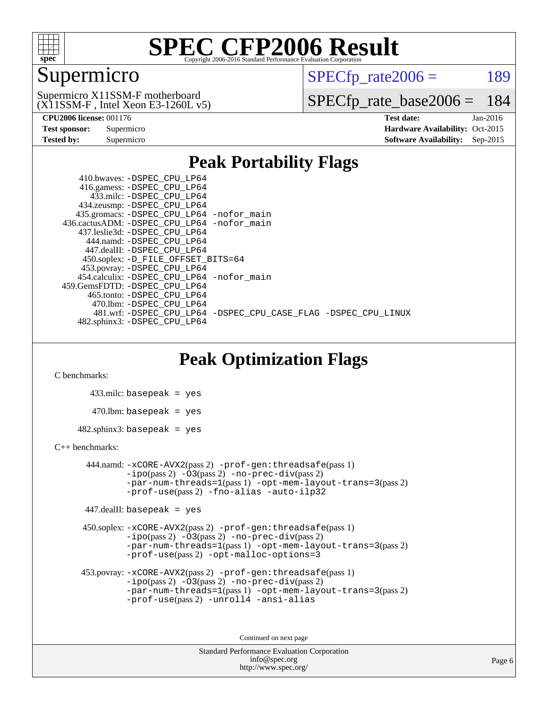

### Supermicro

 $SPECTp\_rate2006 = 189$ 

(X11SSM-F , Intel Xeon E3-1260L v5) Supermicro X11SSM-F motherboard

[SPECfp\\_rate\\_base2006 =](http://www.spec.org/auto/cpu2006/Docs/result-fields.html#SPECfpratebase2006) 184

| <b>Test sponsor:</b> | Supermicro |
|----------------------|------------|
| <b>Tested by:</b>    | Supermicro |

**[CPU2006 license:](http://www.spec.org/auto/cpu2006/Docs/result-fields.html#CPU2006license)** 001176 **[Test date:](http://www.spec.org/auto/cpu2006/Docs/result-fields.html#Testdate)** Jan-2016 **[Hardware Availability:](http://www.spec.org/auto/cpu2006/Docs/result-fields.html#HardwareAvailability)** Oct-2015 **[Software Availability:](http://www.spec.org/auto/cpu2006/Docs/result-fields.html#SoftwareAvailability)** Sep-2015

### **[Peak Portability Flags](http://www.spec.org/auto/cpu2006/Docs/result-fields.html#PeakPortabilityFlags)**

 410.bwaves: [-DSPEC\\_CPU\\_LP64](http://www.spec.org/cpu2006/results/res2016q1/cpu2006-20160206-39002.flags.html#suite_peakPORTABILITY410_bwaves_DSPEC_CPU_LP64) 416.gamess: [-DSPEC\\_CPU\\_LP64](http://www.spec.org/cpu2006/results/res2016q1/cpu2006-20160206-39002.flags.html#suite_peakPORTABILITY416_gamess_DSPEC_CPU_LP64) 433.milc: [-DSPEC\\_CPU\\_LP64](http://www.spec.org/cpu2006/results/res2016q1/cpu2006-20160206-39002.flags.html#suite_peakPORTABILITY433_milc_DSPEC_CPU_LP64) 434.zeusmp: [-DSPEC\\_CPU\\_LP64](http://www.spec.org/cpu2006/results/res2016q1/cpu2006-20160206-39002.flags.html#suite_peakPORTABILITY434_zeusmp_DSPEC_CPU_LP64) 435.gromacs: [-DSPEC\\_CPU\\_LP64](http://www.spec.org/cpu2006/results/res2016q1/cpu2006-20160206-39002.flags.html#suite_peakPORTABILITY435_gromacs_DSPEC_CPU_LP64) [-nofor\\_main](http://www.spec.org/cpu2006/results/res2016q1/cpu2006-20160206-39002.flags.html#user_peakLDPORTABILITY435_gromacs_f-nofor_main) 436.cactusADM: [-DSPEC\\_CPU\\_LP64](http://www.spec.org/cpu2006/results/res2016q1/cpu2006-20160206-39002.flags.html#suite_peakPORTABILITY436_cactusADM_DSPEC_CPU_LP64) [-nofor\\_main](http://www.spec.org/cpu2006/results/res2016q1/cpu2006-20160206-39002.flags.html#user_peakLDPORTABILITY436_cactusADM_f-nofor_main) 437.leslie3d: [-DSPEC\\_CPU\\_LP64](http://www.spec.org/cpu2006/results/res2016q1/cpu2006-20160206-39002.flags.html#suite_peakPORTABILITY437_leslie3d_DSPEC_CPU_LP64) 444.namd: [-DSPEC\\_CPU\\_LP64](http://www.spec.org/cpu2006/results/res2016q1/cpu2006-20160206-39002.flags.html#suite_peakPORTABILITY444_namd_DSPEC_CPU_LP64) 447.dealII: [-DSPEC\\_CPU\\_LP64](http://www.spec.org/cpu2006/results/res2016q1/cpu2006-20160206-39002.flags.html#suite_peakPORTABILITY447_dealII_DSPEC_CPU_LP64) 450.soplex: [-D\\_FILE\\_OFFSET\\_BITS=64](http://www.spec.org/cpu2006/results/res2016q1/cpu2006-20160206-39002.flags.html#user_peakPORTABILITY450_soplex_file_offset_bits_64_438cf9856305ebd76870a2c6dc2689ab) 453.povray: [-DSPEC\\_CPU\\_LP64](http://www.spec.org/cpu2006/results/res2016q1/cpu2006-20160206-39002.flags.html#suite_peakPORTABILITY453_povray_DSPEC_CPU_LP64) 454.calculix: [-DSPEC\\_CPU\\_LP64](http://www.spec.org/cpu2006/results/res2016q1/cpu2006-20160206-39002.flags.html#suite_peakPORTABILITY454_calculix_DSPEC_CPU_LP64) [-nofor\\_main](http://www.spec.org/cpu2006/results/res2016q1/cpu2006-20160206-39002.flags.html#user_peakLDPORTABILITY454_calculix_f-nofor_main) 459.GemsFDTD: [-DSPEC\\_CPU\\_LP64](http://www.spec.org/cpu2006/results/res2016q1/cpu2006-20160206-39002.flags.html#suite_peakPORTABILITY459_GemsFDTD_DSPEC_CPU_LP64) 465.tonto: [-DSPEC\\_CPU\\_LP64](http://www.spec.org/cpu2006/results/res2016q1/cpu2006-20160206-39002.flags.html#suite_peakPORTABILITY465_tonto_DSPEC_CPU_LP64) 470.lbm: [-DSPEC\\_CPU\\_LP64](http://www.spec.org/cpu2006/results/res2016q1/cpu2006-20160206-39002.flags.html#suite_peakPORTABILITY470_lbm_DSPEC_CPU_LP64) 481.wrf: [-DSPEC\\_CPU\\_LP64](http://www.spec.org/cpu2006/results/res2016q1/cpu2006-20160206-39002.flags.html#suite_peakPORTABILITY481_wrf_DSPEC_CPU_LP64) [-DSPEC\\_CPU\\_CASE\\_FLAG](http://www.spec.org/cpu2006/results/res2016q1/cpu2006-20160206-39002.flags.html#b481.wrf_peakCPORTABILITY_DSPEC_CPU_CASE_FLAG) [-DSPEC\\_CPU\\_LINUX](http://www.spec.org/cpu2006/results/res2016q1/cpu2006-20160206-39002.flags.html#b481.wrf_peakCPORTABILITY_DSPEC_CPU_LINUX) 482.sphinx3: [-DSPEC\\_CPU\\_LP64](http://www.spec.org/cpu2006/results/res2016q1/cpu2006-20160206-39002.flags.html#suite_peakPORTABILITY482_sphinx3_DSPEC_CPU_LP64)

### **[Peak Optimization Flags](http://www.spec.org/auto/cpu2006/Docs/result-fields.html#PeakOptimizationFlags)**

[C benchmarks](http://www.spec.org/auto/cpu2006/Docs/result-fields.html#Cbenchmarks):

 433.milc: basepeak = yes  $470.1$ bm: basepeak = yes  $482$ .sphinx3: basepeak = yes

#### [C++ benchmarks:](http://www.spec.org/auto/cpu2006/Docs/result-fields.html#CXXbenchmarks)

 444.namd: [-xCORE-AVX2](http://www.spec.org/cpu2006/results/res2016q1/cpu2006-20160206-39002.flags.html#user_peakPASS2_CXXFLAGSPASS2_LDFLAGS444_namd_f-xAVX2_5f5fc0cbe2c9f62c816d3e45806c70d7)(pass 2) [-prof-gen:threadsafe](http://www.spec.org/cpu2006/results/res2016q1/cpu2006-20160206-39002.flags.html#user_peakPASS1_CXXFLAGSPASS1_LDFLAGS444_namd_prof_gen_21a26eb79f378b550acd7bec9fe4467a)(pass 1)  $-i\text{po}(pass 2) -03(pass 2) -no-prec-div(pass 2)$  $-i\text{po}(pass 2) -03(pass 2) -no-prec-div(pass 2)$  $-i\text{po}(pass 2) -03(pass 2) -no-prec-div(pass 2)$ [-par-num-threads=1](http://www.spec.org/cpu2006/results/res2016q1/cpu2006-20160206-39002.flags.html#user_peakPASS1_CXXFLAGSPASS1_LDFLAGS444_namd_par_num_threads_786a6ff141b4e9e90432e998842df6c2)(pass 1) [-opt-mem-layout-trans=3](http://www.spec.org/cpu2006/results/res2016q1/cpu2006-20160206-39002.flags.html#user_peakPASS2_CXXFLAGS444_namd_f-opt-mem-layout-trans_a7b82ad4bd7abf52556d4961a2ae94d5)(pass 2) [-prof-use](http://www.spec.org/cpu2006/results/res2016q1/cpu2006-20160206-39002.flags.html#user_peakPASS2_CXXFLAGSPASS2_LDFLAGS444_namd_prof_use_bccf7792157ff70d64e32fe3e1250b55)(pass 2) [-fno-alias](http://www.spec.org/cpu2006/results/res2016q1/cpu2006-20160206-39002.flags.html#user_peakCXXOPTIMIZE444_namd_f-no-alias_694e77f6c5a51e658e82ccff53a9e63a) [-auto-ilp32](http://www.spec.org/cpu2006/results/res2016q1/cpu2006-20160206-39002.flags.html#user_peakCXXOPTIMIZE444_namd_f-auto-ilp32)

447.dealII: basepeak = yes

 450.soplex: [-xCORE-AVX2](http://www.spec.org/cpu2006/results/res2016q1/cpu2006-20160206-39002.flags.html#user_peakPASS2_CXXFLAGSPASS2_LDFLAGS450_soplex_f-xAVX2_5f5fc0cbe2c9f62c816d3e45806c70d7)(pass 2) [-prof-gen:threadsafe](http://www.spec.org/cpu2006/results/res2016q1/cpu2006-20160206-39002.flags.html#user_peakPASS1_CXXFLAGSPASS1_LDFLAGS450_soplex_prof_gen_21a26eb79f378b550acd7bec9fe4467a)(pass 1)  $-i\text{po}(pass 2) -\tilde{O}3(pass 2)$  -no- $\bar{p}rec-div(pass 2)$ [-par-num-threads=1](http://www.spec.org/cpu2006/results/res2016q1/cpu2006-20160206-39002.flags.html#user_peakPASS1_CXXFLAGSPASS1_LDFLAGS450_soplex_par_num_threads_786a6ff141b4e9e90432e998842df6c2)(pass 1) [-opt-mem-layout-trans=3](http://www.spec.org/cpu2006/results/res2016q1/cpu2006-20160206-39002.flags.html#user_peakPASS2_CXXFLAGS450_soplex_f-opt-mem-layout-trans_a7b82ad4bd7abf52556d4961a2ae94d5)(pass 2) [-prof-use](http://www.spec.org/cpu2006/results/res2016q1/cpu2006-20160206-39002.flags.html#user_peakPASS2_CXXFLAGSPASS2_LDFLAGS450_soplex_prof_use_bccf7792157ff70d64e32fe3e1250b55)(pass 2) [-opt-malloc-options=3](http://www.spec.org/cpu2006/results/res2016q1/cpu2006-20160206-39002.flags.html#user_peakOPTIMIZE450_soplex_f-opt-malloc-options_13ab9b803cf986b4ee62f0a5998c2238)

```
 453.povray: -xCORE-AVX2(pass 2) -prof-gen:threadsafe(pass 1)
-no-prec-div(pass 2)-par-num-threads=1(pass 1) -opt-mem-layout-trans=3(pass 2)
-prof-use(pass 2) -unroll4 -ansi-alias
```
Continued on next page

```
Standard Performance Evaluation Corporation
      info@spec.org
   http://www.spec.org/
```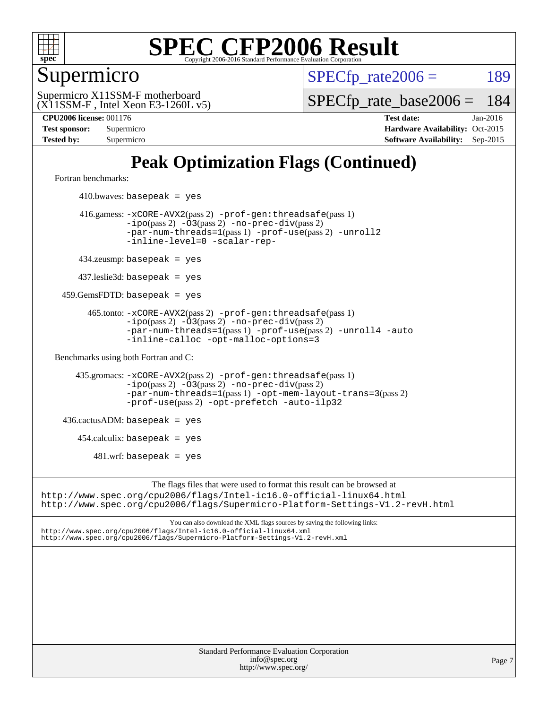

Supermicro

 $SPECTp\_rate2006 = 189$ 

(X11SSM-F , Intel Xeon E3-1260L v5) Supermicro X11SSM-F motherboard

[SPECfp\\_rate\\_base2006 =](http://www.spec.org/auto/cpu2006/Docs/result-fields.html#SPECfpratebase2006) 184

**[CPU2006 license:](http://www.spec.org/auto/cpu2006/Docs/result-fields.html#CPU2006license)** 001176 **[Test date:](http://www.spec.org/auto/cpu2006/Docs/result-fields.html#Testdate)** Jan-2016 **[Test sponsor:](http://www.spec.org/auto/cpu2006/Docs/result-fields.html#Testsponsor)** Supermicro Supermicro **[Hardware Availability:](http://www.spec.org/auto/cpu2006/Docs/result-fields.html#HardwareAvailability)** Oct-2015 **[Tested by:](http://www.spec.org/auto/cpu2006/Docs/result-fields.html#Testedby)** Supermicro **Supermicro [Software Availability:](http://www.spec.org/auto/cpu2006/Docs/result-fields.html#SoftwareAvailability)** Sep-2015

# **[Peak Optimization Flags \(Continued\)](http://www.spec.org/auto/cpu2006/Docs/result-fields.html#PeakOptimizationFlags)**

[Fortran benchmarks](http://www.spec.org/auto/cpu2006/Docs/result-fields.html#Fortranbenchmarks):

 $410.bwaves: basepeak = yes$  416.gamess: [-xCORE-AVX2](http://www.spec.org/cpu2006/results/res2016q1/cpu2006-20160206-39002.flags.html#user_peakPASS2_FFLAGSPASS2_LDFLAGS416_gamess_f-xAVX2_5f5fc0cbe2c9f62c816d3e45806c70d7)(pass 2) [-prof-gen:threadsafe](http://www.spec.org/cpu2006/results/res2016q1/cpu2006-20160206-39002.flags.html#user_peakPASS1_FFLAGSPASS1_LDFLAGS416_gamess_prof_gen_21a26eb79f378b550acd7bec9fe4467a)(pass 1) [-ipo](http://www.spec.org/cpu2006/results/res2016q1/cpu2006-20160206-39002.flags.html#user_peakPASS2_FFLAGSPASS2_LDFLAGS416_gamess_f-ipo)(pass 2) [-O3](http://www.spec.org/cpu2006/results/res2016q1/cpu2006-20160206-39002.flags.html#user_peakPASS2_FFLAGSPASS2_LDFLAGS416_gamess_f-O3)(pass 2) [-no-prec-div](http://www.spec.org/cpu2006/results/res2016q1/cpu2006-20160206-39002.flags.html#user_peakPASS2_FFLAGSPASS2_LDFLAGS416_gamess_f-no-prec-div)(pass 2) [-par-num-threads=1](http://www.spec.org/cpu2006/results/res2016q1/cpu2006-20160206-39002.flags.html#user_peakPASS1_FFLAGSPASS1_LDFLAGS416_gamess_par_num_threads_786a6ff141b4e9e90432e998842df6c2)(pass 1) [-prof-use](http://www.spec.org/cpu2006/results/res2016q1/cpu2006-20160206-39002.flags.html#user_peakPASS2_FFLAGSPASS2_LDFLAGS416_gamess_prof_use_bccf7792157ff70d64e32fe3e1250b55)(pass 2) [-unroll2](http://www.spec.org/cpu2006/results/res2016q1/cpu2006-20160206-39002.flags.html#user_peakOPTIMIZE416_gamess_f-unroll_784dae83bebfb236979b41d2422d7ec2) [-inline-level=0](http://www.spec.org/cpu2006/results/res2016q1/cpu2006-20160206-39002.flags.html#user_peakOPTIMIZE416_gamess_f-inline-level_318d07a09274ad25e8d15dbfaa68ba50) [-scalar-rep-](http://www.spec.org/cpu2006/results/res2016q1/cpu2006-20160206-39002.flags.html#user_peakOPTIMIZE416_gamess_f-disablescalarrep_abbcad04450fb118e4809c81d83c8a1d) 434.zeusmp: basepeak = yes 437.leslie3d: basepeak = yes 459.GemsFDTD: basepeak = yes 465.tonto: [-xCORE-AVX2](http://www.spec.org/cpu2006/results/res2016q1/cpu2006-20160206-39002.flags.html#user_peakPASS2_FFLAGSPASS2_LDFLAGS465_tonto_f-xAVX2_5f5fc0cbe2c9f62c816d3e45806c70d7)(pass 2) [-prof-gen:threadsafe](http://www.spec.org/cpu2006/results/res2016q1/cpu2006-20160206-39002.flags.html#user_peakPASS1_FFLAGSPASS1_LDFLAGS465_tonto_prof_gen_21a26eb79f378b550acd7bec9fe4467a)(pass 1)  $-ipo(pass 2)$  $-ipo(pass 2)$   $-03(pass 2)$   $-no-prec-div(pass 2)$  $-no-prec-div(pass 2)$ [-par-num-threads=1](http://www.spec.org/cpu2006/results/res2016q1/cpu2006-20160206-39002.flags.html#user_peakPASS1_FFLAGSPASS1_LDFLAGS465_tonto_par_num_threads_786a6ff141b4e9e90432e998842df6c2)(pass 1) [-prof-use](http://www.spec.org/cpu2006/results/res2016q1/cpu2006-20160206-39002.flags.html#user_peakPASS2_FFLAGSPASS2_LDFLAGS465_tonto_prof_use_bccf7792157ff70d64e32fe3e1250b55)(pass 2) [-unroll4](http://www.spec.org/cpu2006/results/res2016q1/cpu2006-20160206-39002.flags.html#user_peakOPTIMIZE465_tonto_f-unroll_4e5e4ed65b7fd20bdcd365bec371b81f) [-auto](http://www.spec.org/cpu2006/results/res2016q1/cpu2006-20160206-39002.flags.html#user_peakOPTIMIZE465_tonto_f-auto) [-inline-calloc](http://www.spec.org/cpu2006/results/res2016q1/cpu2006-20160206-39002.flags.html#user_peakOPTIMIZE465_tonto_f-inline-calloc) [-opt-malloc-options=3](http://www.spec.org/cpu2006/results/res2016q1/cpu2006-20160206-39002.flags.html#user_peakOPTIMIZE465_tonto_f-opt-malloc-options_13ab9b803cf986b4ee62f0a5998c2238) [Benchmarks using both Fortran and C](http://www.spec.org/auto/cpu2006/Docs/result-fields.html#BenchmarksusingbothFortranandC): 435.gromacs: [-xCORE-AVX2](http://www.spec.org/cpu2006/results/res2016q1/cpu2006-20160206-39002.flags.html#user_peakPASS2_CFLAGSPASS2_FFLAGSPASS2_LDFLAGS435_gromacs_f-xAVX2_5f5fc0cbe2c9f62c816d3e45806c70d7)(pass 2) [-prof-gen:threadsafe](http://www.spec.org/cpu2006/results/res2016q1/cpu2006-20160206-39002.flags.html#user_peakPASS1_CFLAGSPASS1_FFLAGSPASS1_LDFLAGS435_gromacs_prof_gen_21a26eb79f378b550acd7bec9fe4467a)(pass 1) [-ipo](http://www.spec.org/cpu2006/results/res2016q1/cpu2006-20160206-39002.flags.html#user_peakPASS2_CFLAGSPASS2_FFLAGSPASS2_LDFLAGS435_gromacs_f-ipo)(pass 2) [-O3](http://www.spec.org/cpu2006/results/res2016q1/cpu2006-20160206-39002.flags.html#user_peakPASS2_CFLAGSPASS2_FFLAGSPASS2_LDFLAGS435_gromacs_f-O3)(pass 2) [-no-prec-div](http://www.spec.org/cpu2006/results/res2016q1/cpu2006-20160206-39002.flags.html#user_peakPASS2_CFLAGSPASS2_FFLAGSPASS2_LDFLAGS435_gromacs_f-no-prec-div)(pass 2) [-par-num-threads=1](http://www.spec.org/cpu2006/results/res2016q1/cpu2006-20160206-39002.flags.html#user_peakPASS1_CFLAGSPASS1_FFLAGSPASS1_LDFLAGS435_gromacs_par_num_threads_786a6ff141b4e9e90432e998842df6c2)(pass 1) [-opt-mem-layout-trans=3](http://www.spec.org/cpu2006/results/res2016q1/cpu2006-20160206-39002.flags.html#user_peakPASS2_CFLAGS435_gromacs_f-opt-mem-layout-trans_a7b82ad4bd7abf52556d4961a2ae94d5)(pass 2) [-prof-use](http://www.spec.org/cpu2006/results/res2016q1/cpu2006-20160206-39002.flags.html#user_peakPASS2_CFLAGSPASS2_FFLAGSPASS2_LDFLAGS435_gromacs_prof_use_bccf7792157ff70d64e32fe3e1250b55)(pass 2) [-opt-prefetch](http://www.spec.org/cpu2006/results/res2016q1/cpu2006-20160206-39002.flags.html#user_peakOPTIMIZE435_gromacs_f-opt-prefetch) [-auto-ilp32](http://www.spec.org/cpu2006/results/res2016q1/cpu2006-20160206-39002.flags.html#user_peakCOPTIMIZE435_gromacs_f-auto-ilp32)  $436.cactusADM:basepeak = yes$  454.calculix: basepeak = yes  $481.$ wrf: basepeak = yes The flags files that were used to format this result can be browsed at <http://www.spec.org/cpu2006/flags/Intel-ic16.0-official-linux64.html> <http://www.spec.org/cpu2006/flags/Supermicro-Platform-Settings-V1.2-revH.html>

You can also download the XML flags sources by saving the following links: <http://www.spec.org/cpu2006/flags/Intel-ic16.0-official-linux64.xml> <http://www.spec.org/cpu2006/flags/Supermicro-Platform-Settings-V1.2-revH.xml>